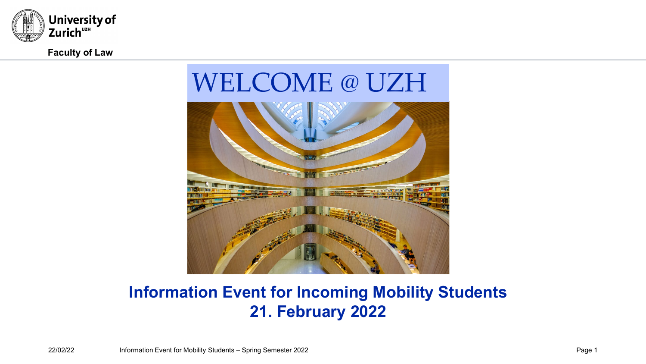

**Faculty of Law**

# WELCOME @ UZH



### **Information Event for Incoming Mobility Students 21. February 2022**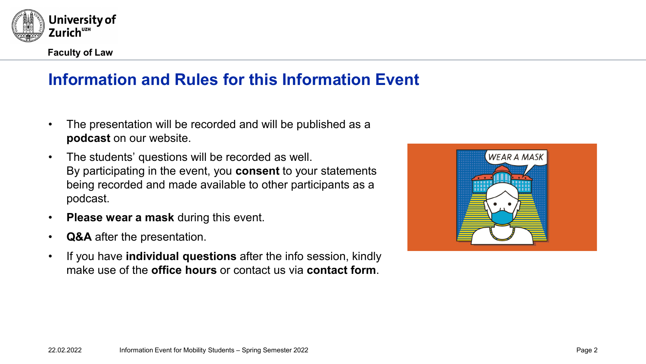

# **Information and Rules for this Information Event**

- The presentation will be recorded and will be published as a **podcast** on our website.
- The students' questions will be recorded as well. By participating in the event, you **consent** to your statements being recorded and made available to other participants as a podcast.
- **Please wear a mask** during this event.
- **Q&A** after the presentation.
- If you have **individual questions** after the info session, kindly make use of the **office hours** or contact us via **contact form**.

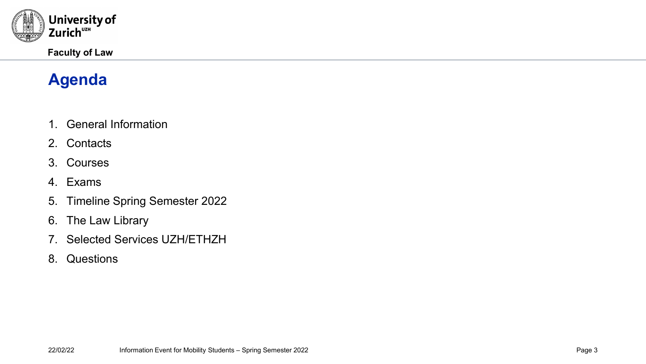

# **Agenda**

- 1. General Information
- 2. Contacts
- 3. Courses
- 4. Exams
- 5. Timeline Spring Semester 2022
- 6. The Law Library
- 7. Selected Services UZH/ETHZH
- 8. Questions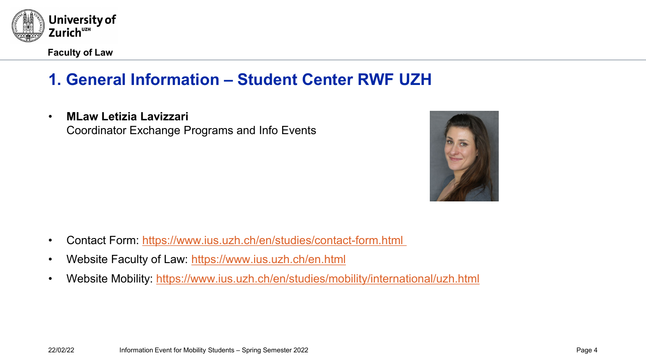

**Faculty of Law**

# **1. General Information – Student Center RWF UZH**

• **MLaw Letizia Lavizzari**

Coordinator Exchange Programs and Info Events



- Contact Form: [https://www.ius.uzh.ch/en/studies/contact-form.html](https://www.ius.uzh.ch/en/studies/contact-form.html%C2%A0)
- Website Faculty of Law:<https://www.ius.uzh.ch/en.html>
- Website Mobility:<https://www.ius.uzh.ch/en/studies/mobility/international/uzh.html>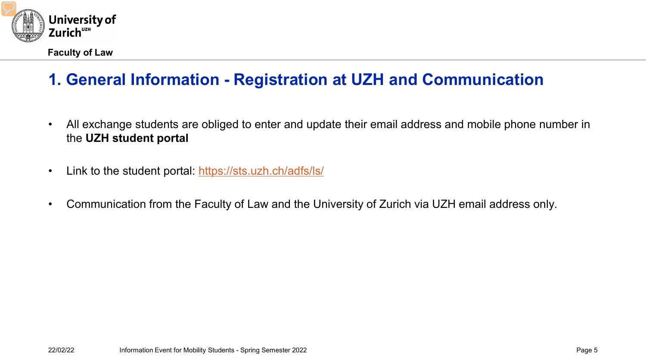

# **1. General Information - Registration at UZH and Communication**

- All exchange students are obliged to enter and update their email address and mobile phone number in the **UZH student portal**
- Link to the student portal:<https://sts.uzh.ch/adfs/ls/>
- Communication from the Faculty of Law and the University of Zurich via UZH email address only.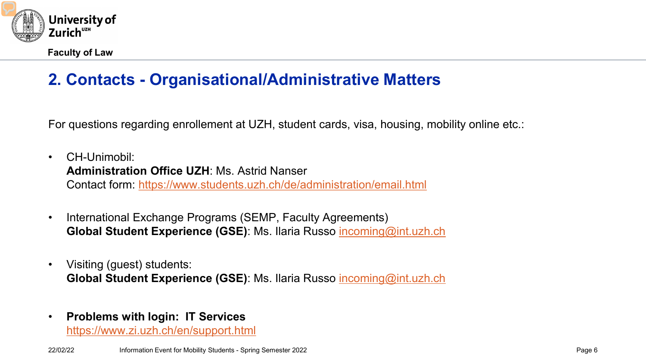

# **2. Contacts - Organisational/Administrative Matters**

For questions regarding enrollement at UZH, student cards, visa, housing, mobility online etc.:

- CH-Unimobil: **Administration Office UZH**: Ms. Astrid Nanser Contact form: <https://www.students.uzh.ch/de/administration/email.html>
- International Exchange Programs (SEMP, Faculty Agreements) **Global Student Experience (GSE)**: Ms. Ilaria Russo [incoming@int.uzh.ch](mailto:incoming@int.uzh.ch)
- Visiting (quest) students: **Global Student Experience (GSE)**: Ms. Ilaria Russo [incoming@int.uzh.ch](mailto:incoming@int.uzh.ch)
- **Problems with login: IT Services**

<https://www.zi.uzh.ch/en/support.html>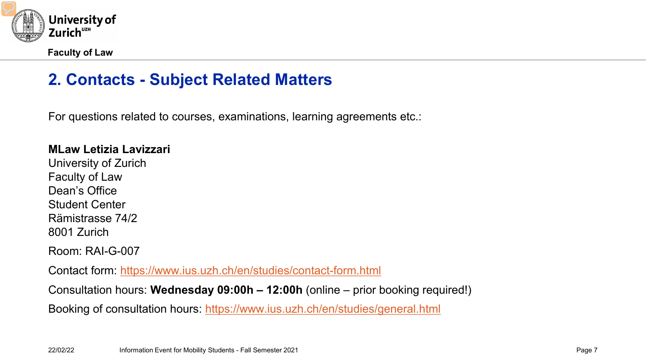

### **2. Contacts - Subject Related Matters**

For questions related to courses, examinations, learning agreements etc.:

#### **MLaw Letizia Lavizzari**

University of Zurich Faculty of Law Dean's Office Student Center Rämistrasse 74/2 8001 Zurich

Room: RAI-G-007

Contact form: <https://www.ius.uzh.ch/en/studies/contact-form.html>

Consultation hours: **Wednesday 09:00h – 12:00h** (online – prior booking required!)

Booking of consultation hours: <https://www.ius.uzh.ch/en/studies/general.html>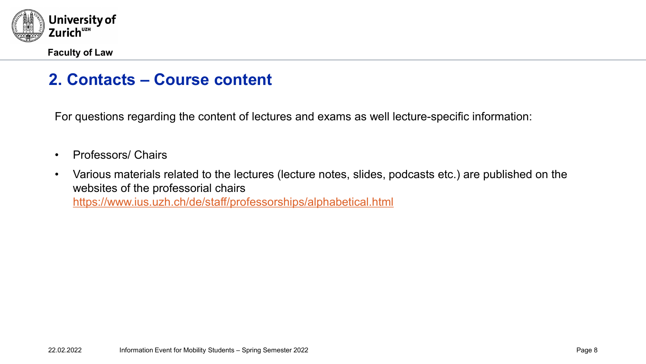

### **2. Contacts – Course content**

For questions regarding the content of lectures and exams as well lecture-specific information:

- Professors/ Chairs
- Various materials related to the lectures (lecture notes, slides, podcasts etc.) are published on the websites of the professorial chairs <https://www.ius.uzh.ch/de/staff/professorships/alphabetical.html>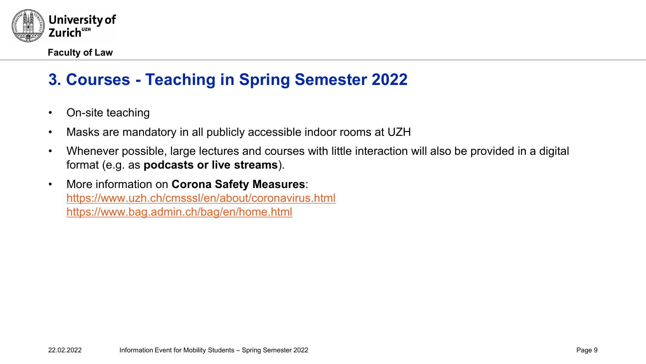

# **3. Courses - Teaching in Spring Semester 2022**

- On-site teaching
- Masks are mandatory in all publicly accessible indoor rooms at UZH
- Whenever possible, large lectures and courses with little interaction will also be provided in a digital format (e.g. as **podcasts or live streams**).
- More information on **Corona Safety Measures**: <https://www.uzh.ch/cmsssl/en/about/coronavirus.html> <https://www.bag.admin.ch/bag/en/home.html>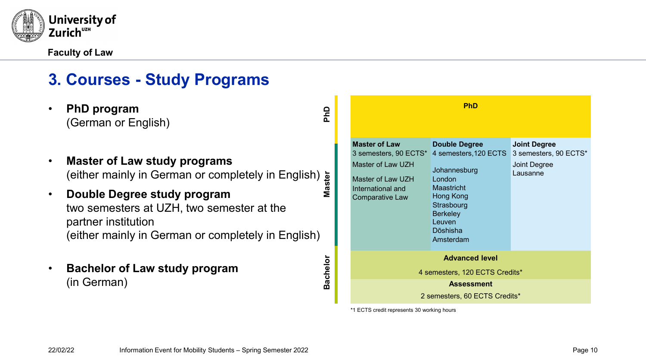

### **3. Courses - Study Programs**

- **PhD program** (German or English)
- **Master of Law study programs** (either mainly in German or completely in English) **Master**
- **Double Degree study program** two semesters at UZH, two semester at the partner institution (either mainly in German or completely in English)
- **Bachelor of Law study program** (in German)

**PhD Assessment** 2 semesters, 60 ECTS Credits\* **Master of Law** 3 semesters, 90 ECTS\* Master of Law UZH Master of Law UZH International and Comparative Law **Double Degree** 4 semesters,120 ECTS 3 semesters, 90 ECTS\* **Johannesburg** London Maastricht Hong Kong **Strasbourg Berkeley** Leuven Dōshisha Amsterdam **Joint Degree** Joint Degree Lausanne **Advanced level** 4 semesters, 120 ECTS Credits\*

\*1 ECTS credit represents 30 working hours

**PhD**

**Bachelor**

**Bachelor**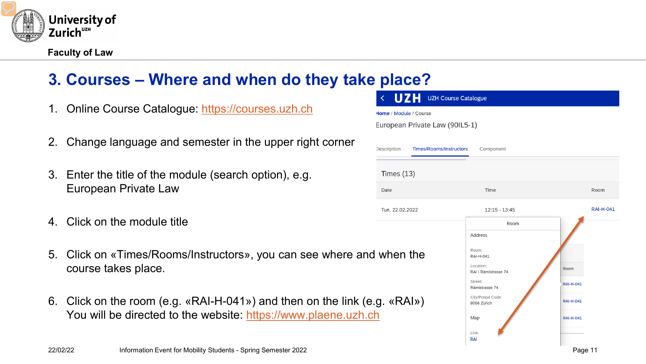

# **3. Courses – Where and when do they take place?**

- 1. Online Course Catalogue: [https://courses.uzh.ch](https://courses.uzh.ch/)
- 2. Change language and semester in the upper right corner
- 3. Enter the title of the module (search option), e.g. European Private Law
- 4. Click on the module title
- 5. Click on «Times/Rooms/Instructors», you can see where and when the course takes place.
- 6. Click on the room (e.g. «RAI-H-041») and then on the link (e.g. «RAI») You will be directed to the website: [https://www.plaene.uzh.ch](https://www.plaene.uzh.ch/)

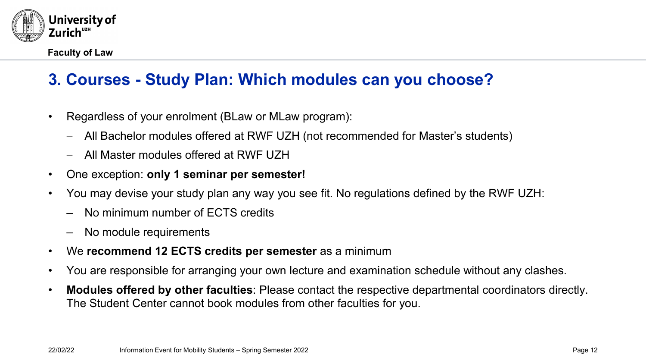

# **3. Courses - Study Plan: Which modules can you choose?**

- Regardless of your enrolment (BLaw or MLaw program):
	- − All Bachelor modules offered at RWF UZH (not recommended for Master's students)
	- − All Master modules offered at RWF UZH
- One exception: **only 1 seminar per semester!**
- You may devise your study plan any way you see fit. No regulations defined by the RWF UZH:
	- No minimum number of ECTS credits
	- No module requirements
- We **recommend 12 ECTS credits per semester** as a minimum
- You are responsible for arranging your own lecture and examination schedule without any clashes.
- **Modules offered by other faculties**: Please contact the respective departmental coordinators directly. The Student Center cannot book modules from other faculties for you.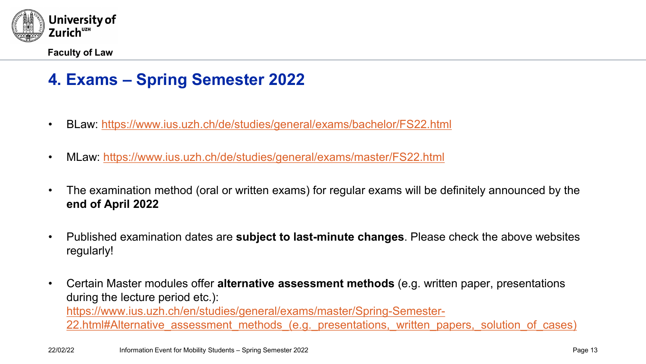

### **4. Exams – Spring Semester 2022**

- BLaw: <https://www.ius.uzh.ch/de/studies/general/exams/bachelor/FS22.html>
- MLaw:<https://www.ius.uzh.ch/de/studies/general/exams/master/FS22.html>
- The examination method (oral or written exams) for regular exams will be definitely announced by the **end of April 2022**
- Published examination dates are **subject to last-minute changes**. Please check the above websites regularly!
- Certain Master modules offer **alternative assessment methods** (e.g. written paper, presentations during the lecture period etc.): https://www.ius.uzh.ch/en/studies/general/exams/master/Spring-Semester-22.html#Alternative assessment methods (e.g. presentations, written papers, solution of cases)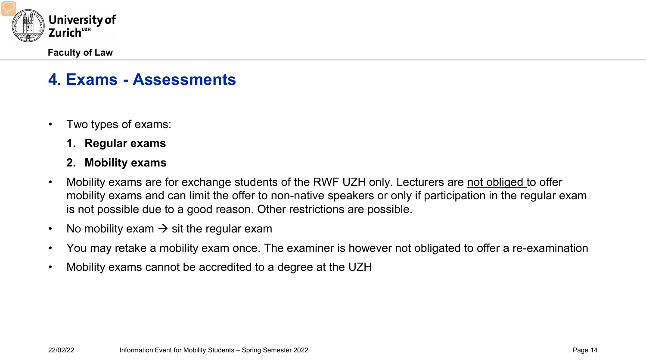

### **4. Exams - Assessments**

- Two types of exams:
	- **1. Regular exams**
	- **2. Mobility exams**
- Mobility exams are for exchange students of the RWF UZH only. Lecturers are not obliged to offer mobility exams and can limit the offer to non-native speakers or only if participation in the regular exam is not possible due to a good reason. Other restrictions are possible.
- No mobility exam  $\rightarrow$  sit the regular exam
- You may retake a mobility exam once. The examiner is however not obligated to offer a re-examination
- Mobility exams cannot be accredited to a degree at the UZH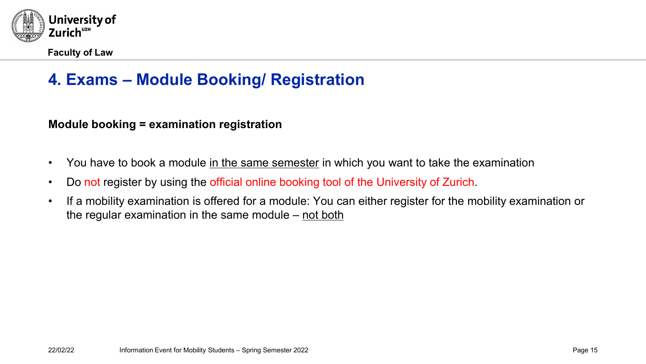

# **4. Exams – Module Booking/ Registration**

**Module booking = examination registration**

- You have to book a module in the same semester in which you want to take the examination
- Do not register by using the official online booking tool of the University of Zurich.
- If a mobility examination is offered for a module: You can either register for the mobility examination or the regular examination in the same module  $-$  not both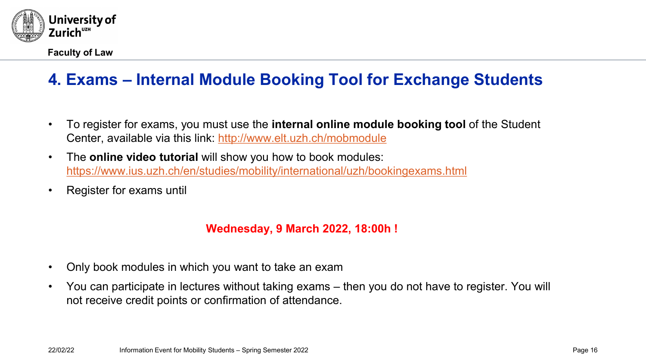

# **4. Exams – Internal Module Booking Tool for Exchange Students**

- To register for exams, you must use the **internal online module booking tool** of the Student Center, available via this link:<http://www.elt.uzh.ch/mobmodule>
- The **online video tutorial** will show you how to book modules: <https://www.ius.uzh.ch/en/studies/mobility/international/uzh/bookingexams.html>
- Register for exams until

#### **Wednesday, 9 March 2022, 18:00h !**

- Only book modules in which you want to take an exam
- You can participate in lectures without taking exams then you do not have to register. You will not receive credit points or confirmation of attendance.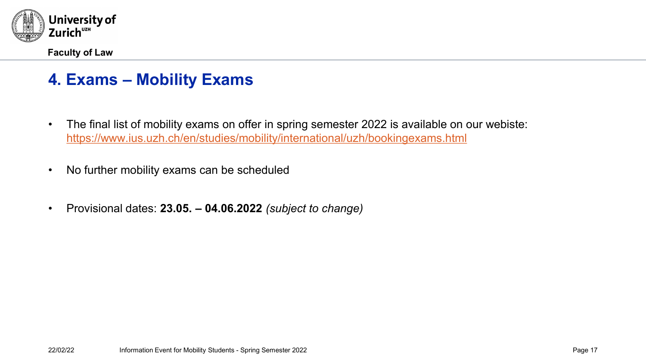

### **4. Exams – Mobility Exams**

- The final list of mobility exams on offer in spring semester 2022 is available on our webiste: <https://www.ius.uzh.ch/en/studies/mobility/international/uzh/bookingexams.html>
- No further mobility exams can be scheduled
- Provisional dates: **23.05. – 04.06.2022** *(subject to change)*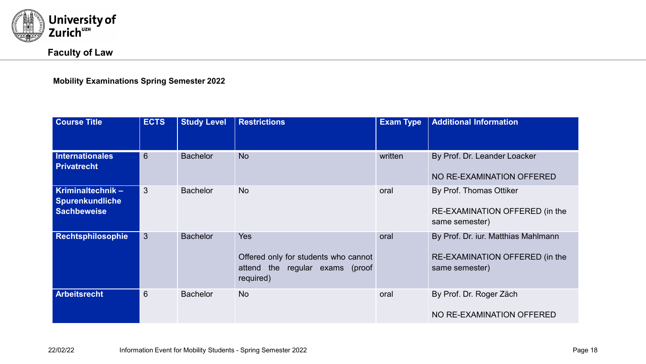

#### **Faculty of Law**

**Mobility Examinations Spring Semester 2022**

| <b>Course Title</b>                                              | <b>ECTS</b>  | <b>Study Level</b> | <b>Restrictions</b>                                                                                | <b>Exam Type</b> | <b>Additional Information</b>                                                           |
|------------------------------------------------------------------|--------------|--------------------|----------------------------------------------------------------------------------------------------|------------------|-----------------------------------------------------------------------------------------|
| <b>Internationales</b><br><b>Privatrecht</b>                     | 6            | <b>Bachelor</b>    | <b>No</b>                                                                                          | written          | By Prof. Dr. Leander Loacker<br>NO RE-EXAMINATION OFFERED                               |
| Kriminaltechnik-<br><b>Spurenkundliche</b><br><b>Sachbeweise</b> | 3            | <b>Bachelor</b>    | <b>No</b>                                                                                          | oral             | By Prof. Thomas Ottiker<br>RE-EXAMINATION OFFERED (in the<br>same semester)             |
| Rechtsphilosophie                                                | $\mathbf{3}$ | <b>Bachelor</b>    | <b>Yes</b><br>Offered only for students who cannot<br>attend the regular exams (proof<br>required) | oral             | By Prof. Dr. iur. Matthias Mahlmann<br>RE-EXAMINATION OFFERED (in the<br>same semester) |
| <b>Arbeitsrecht</b>                                              | 6            | <b>Bachelor</b>    | <b>No</b>                                                                                          | oral             | By Prof. Dr. Roger Zäch<br>NO RE-EXAMINATION OFFERED                                    |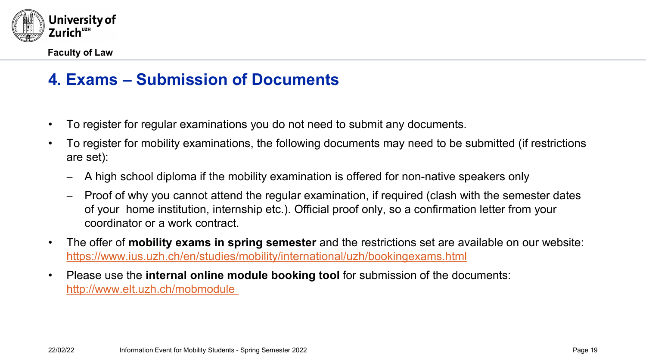

### **4. Exams – Submission of Documents**

- To register for regular examinations you do not need to submit any documents.
- To register for mobility examinations, the following documents may need to be submitted (if restrictions are set):
	- − A high school diploma if the mobility examination is offered for non-native speakers only
	- − Proof of why you cannot attend the regular examination, if required (clash with the semester dates of your home institution, internship etc.). Official proof only, so a confirmation letter from your coordinator or a work contract.
- The offer of **mobility exams in spring semester** and the restrictions set are available on our website: <https://www.ius.uzh.ch/en/studies/mobility/international/uzh/bookingexams.html>
- Please use the **internal online module booking tool** for submission of the documents: <http://www.elt.uzh.ch/mobmodule>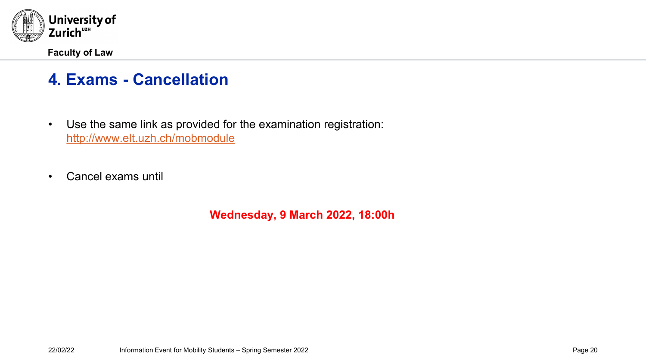

### **4. Exams - Cancellation**

- Use the same link as provided for the examination registration: <http://www.elt.uzh.ch/mobmodule>
- Cancel exams until

**Wednesday, 9 March 2022, 18:00h**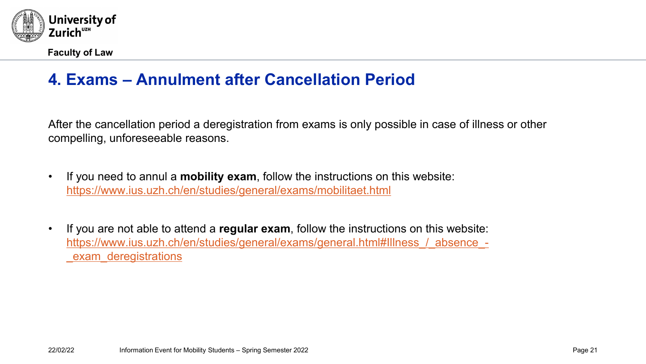

### **4. Exams – Annulment after Cancellation Period**

After the cancellation period a deregistration from exams is only possible in case of illness or other compelling, unforeseeable reasons.

- If you need to annul a **mobility exam**, follow the instructions on this website: <https://www.ius.uzh.ch/en/studies/general/exams/mobilitaet.html>
- If you are not able to attend a **regular exam**, follow the instructions on this website: [https://www.ius.uzh.ch/en/studies/general/exams/general.html#Illness\\_/\\_absence\\_](https://www.ius.uzh.ch/en/studies/general/exams/general.html#Illness_/_absence_-_exam_deregistrations) exam deregistrations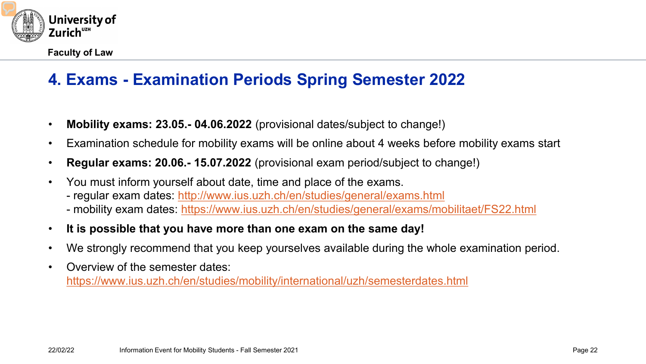

# **4. Exams - Examination Periods Spring Semester 2022**

- **Mobility exams: 23.05.- 04.06.2022** (provisional dates/subject to change!)
- Examination schedule for mobility exams will be online about 4 weeks before mobility exams start
- **Regular exams: 20.06.- 15.07.2022** (provisional exam period/subject to change!)
- You must inform yourself about date, time and place of the exams.
	- regular exam dates:<http://www.ius.uzh.ch/en/studies/general/exams.html>
	- mobility exam dates: <https://www.ius.uzh.ch/en/studies/general/exams/mobilitaet/FS22.html>
- **It is possible that you have more than one exam on the same day!**
- We strongly recommend that you keep yourselves available during the whole examination period.
- Overview of the semester dates: <https://www.ius.uzh.ch/en/studies/mobility/international/uzh/semesterdates.html>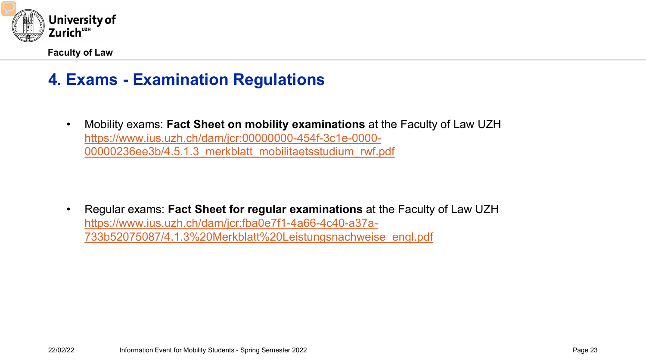

### **4. Exams - Examination Regulations**

• Mobility exams: **Fact Sheet on mobility examinations** at the Faculty of Law UZH https://www.ius.uzh.ch/dam/jcr:00000000-454f-3c1e-0000- [00000236ee3b/4.5.1.3\\_merkblatt\\_mobilitaetsstudium\\_rwf.pdf](https://www.ius.uzh.ch/dam/jcr:00000000-454f-3c1e-0000-00000236ee3b/4.5.1.3_merkblatt_mobilitaetsstudium_rwf.pdf)

• Regular exams: **Fact Sheet for regular examinations** at the Faculty of Law UZH https://www.ius.uzh.ch/dam/jcr:fba0e7f1-4a66-4c40-a37a-[733b52075087/4.1.3%20Merkblatt%20Leistungsnachweise\\_engl.pdf](https://www.ius.uzh.ch/dam/jcr:fba0e7f1-4a66-4c40-a37a-733b52075087/4.1.3%20Merkblatt%20Leistungsnachweise_engl.pdf)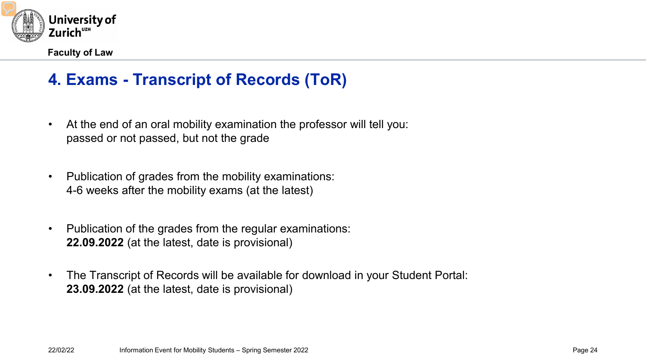

# **4. Exams - Transcript of Records (ToR)**

- At the end of an oral mobility examination the professor will tell you: passed or not passed, but not the grade
- Publication of grades from the mobility examinations: 4-6 weeks after the mobility exams (at the latest)
- Publication of the grades from the regular examinations: **22.09.2022** (at the latest, date is provisional)
- The Transcript of Records will be available for download in your Student Portal: **23.09.2022** (at the latest, date is provisional)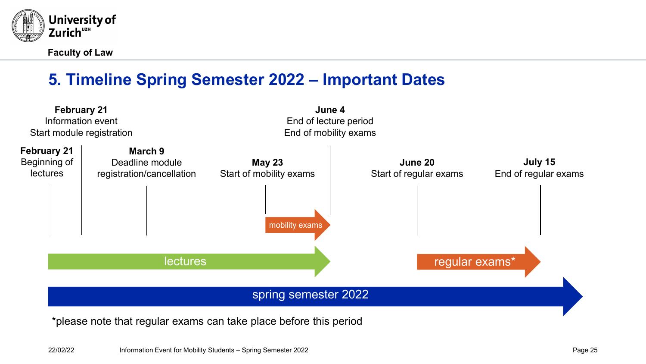

# **5. Timeline Spring Semester 2022 – Important Dates**



\*please note that regular exams can take place before this period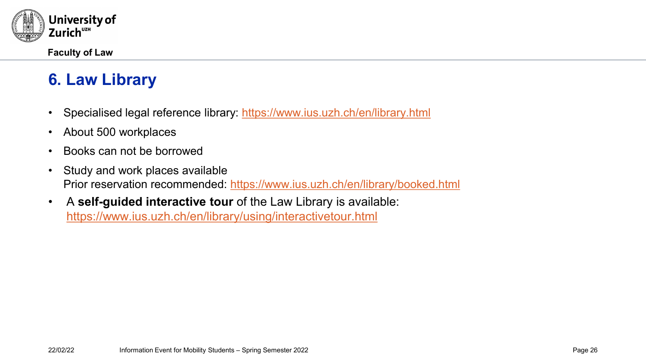

# **6. Law Library**

- Specialised legal reference library:<https://www.ius.uzh.ch/en/library.html>
- About 500 workplaces
- Books can not be borrowed
- Study and work places available Prior reservation recommended:<https://www.ius.uzh.ch/en/library/booked.html>
- A **self-guided interactive tour** of the Law Library is available: <https://www.ius.uzh.ch/en/library/using/interactivetour.html>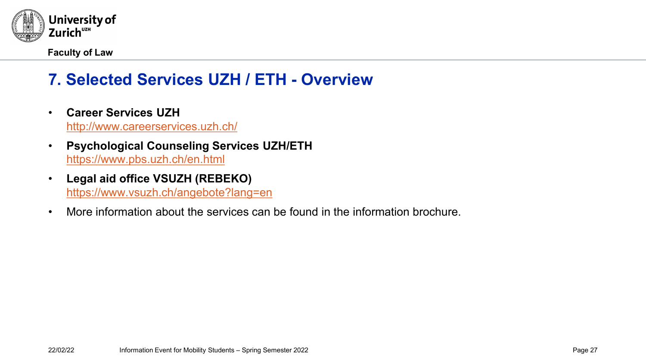

# **7. Selected Services UZH / ETH - Overview**

- **Career Services UZH** <http://www.careerservices.uzh.ch/>
- **Psychological Counseling Services UZH/ETH** <https://www.pbs.uzh.ch/en.html>
- **Legal aid office VSUZH (REBEKO)** <https://www.vsuzh.ch/angebote?lang=en>
- More information about the services can be found in the information brochure.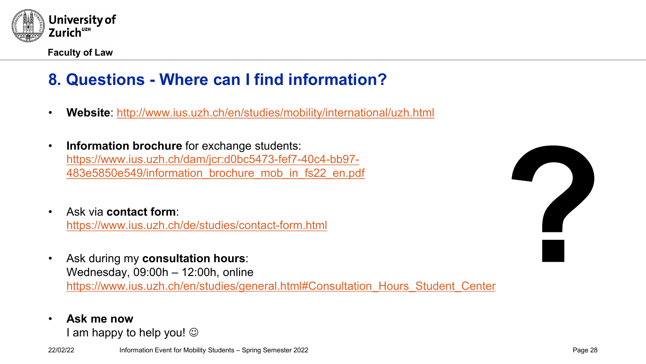

# **8. Questions - Where can I find information?**

- **Website**:<http://www.ius.uzh.ch/en/studies/mobility/international/uzh.html>
- **Information brochure** for exchange students: [https://www.ius.uzh.ch/dam/jcr:d0bc5473-fef7-40c4-bb97-](https://www.ius.uzh.ch/dam/jcr:d0bc5473-fef7-40c4-bb97-483e5850e549/information_brochure_mob_in_fs22_en.pdf) 483e5850e549/information\_brochure\_mob\_in\_fs22\_en.pdf
- Ask via **contact form**: <https://www.ius.uzh.ch/de/studies/contact-form.html>
- Ask during my **consultation hours**: Wednesday, 09:00h – 12:00h, online [https://www.ius.uzh.ch/en/studies/general.html#Consultation\\_Hours\\_Student\\_Center](https://www.ius.uzh.ch/en/studies/general.html#Consultation_Hours_Student_Center)
- **Ask me now**

I am happy to help you!  $\odot$